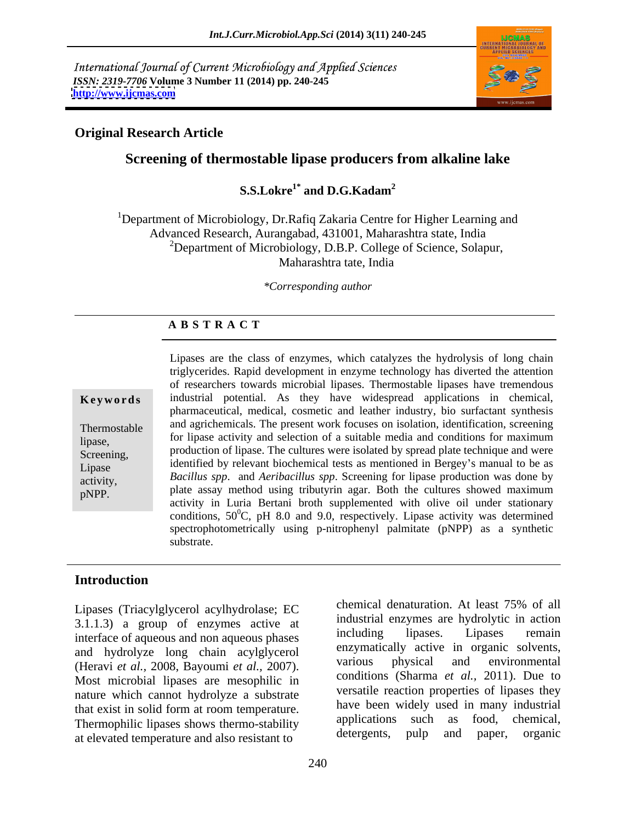International Journal of Current Microbiology and Applied Sciences *ISSN: 2319-7706* **Volume 3 Number 11 (2014) pp. 240-245 <http://www.ijcmas.com>**



## **Original Research Article**

# **Screening of thermostable lipase producers from alkaline lake**

## **S.S.Lokre<sup>1\*</sup> and D.G.Kadam<sup>2</sup> and D.G.Kadam<sup>2</sup>**

<sup>1</sup>Department of Microbiology, Dr.Rafiq Zakaria Centre for Higher Learning and Advanced Research, Aurangabad, 431001, Maharashtra state, India  $2D$ epartment of Microbiology, D.B.P. College of Science, Solapur, Maharashtra tate, India

*\*Corresponding author*

## **A B S T R A C T**

**Keywords** industrial potential. As they have widespread applications in chemical, Thermostable and agrichemicals. The present work focuses on isolation, identification, screening lipase, for lipase activity and selection of a suitable media and conditions for maximum Screening, production of lipase. The cultures were isolated by spread plate technique and were Lipase identified by relevant biochemical tests as mentioned in Bergey's manual to be as activity, *Bacillus spp*. and *Aeribacillus spp*. Screening for lipase production was done by pNPP. plate assay method using tributyrin agar. Both the cultures showed maximum Lipases are the class of enzymes, which catalyzes the hydrolysis of long chain triglycerides. Rapid development in enzyme technology has diverted the attention of researchers towards microbial lipases. Thermostable lipases have tremendous pharmaceutical, medical, cosmetic and leather industry, bio surfactant synthesis activity in Luria Bertani broth supplemented with olive oil under stationary conditions,  $50^{\circ}$ C, pH 8.0 and 9.0, respectively. Lipase activity was determined spectrophotometrically using p-nitrophenyl palmitate (pNPP) as a synthetic substrate.

## **Introduction**

Lipases (Triacylglycerol acylhydrolase; EC 3.1.1.3) a group of enzymes active at and industrial enzymes are hydrolytic in action<br>including lipases. Lipases remain interface of aqueous and non aqueous phases and hydrolyze long chain acylglycerol enzymatically active in organic solvents,<br>(Herovi et al. 2008 Bayoumi et al. 2007) various physical and environmental (Heravi *et al.,* 2008, Bayoumi *et al.,* 2007). Most microbial lipases are mesophilic in nature which cannot hydrolyze a substrate that exist in solid form at room temperature.<br>
Thermophilic lineses shows thermo stability applications such as food, chemical, Thermophilic lipases shows thermo-stability applications such as tood, chemical, at algundary condition of the effect of the effect of the effect of the effect of the effect of the effect of the effect of the effect of the at elevated temperature and also resistant to

chemical denaturation. At least 75% of all industrial enzymes are hydrolytic in action including lipases. Lipases remain enzymatically active in organic solvents, various physical and environmental conditions (Sharma *et al.,* 2011). Due to versatile reaction properties of lipases they have been widely used in many industrial applications such as food, chemical, detergents, pulp and paper, organic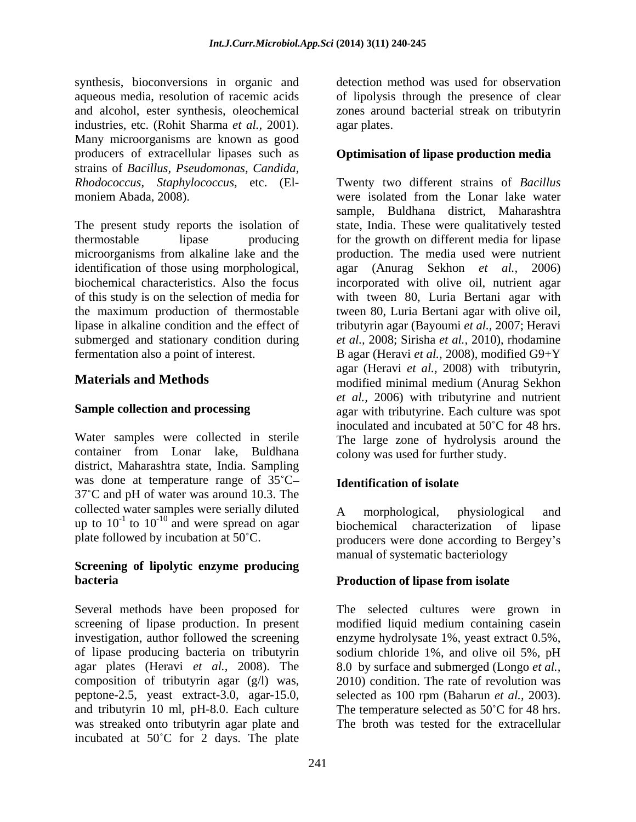synthesis, bioconversions in organic and aqueous media, resolution of racemic acids of lipolysis through the presence of clear and alcohol, ester synthesis, oleochemical zones around bacterial streak on tributyrin industries, etc. (Rohit Sharma *et al.,* 2001). Many microorganisms are known as good producers of extracellular lipases such as **Optimisation of lipase production media** strains of *Bacillus, Pseudomonas, Candida,*

thermostable lipase producing for the growth on different media for lipase microorganisms from alkaline lake and the production. The media used were nutrient identification of those using morphological, agar (Anurag Sekhon et al., 2006) biochemical characteristics. Also the focus incorporated with olive oil, nutrient agar of this study is on the selection of media for with tween 80, Luria Bertani agar with the maximum production of thermostable tween 80, Luria Bertani agar with olive oil, lipase in alkaline condition and the effect of tributyrin agar (Bayoumi *et al.,* 2007; Heravi submerged and stationary condition during *et al.,* 2008; Sirisha *et al.,* 2010), rhodamine fermentation also a point of interest. B agar (Heravi *et al.,* 2008), modified G9+Y

container from Lonar lake, Buldhana district, Maharashtra state, India. Sampling was done at temperature range of  $35^{\circ}$ C- **Identification of isolate** 37 C and pH of water was around 10.3. The collected water samples were serially diluted<br>  $\mu$  morphological, physiological and<br>  $\mu$  to 10<sup>-1</sup> to 10<sup>-10</sup> and were spread on agar<br>  $\mu$  higher haracterization of linese up to  $10^{-1}$  to  $10^{-10}$  and were spread on agar biochemical characterization of lipase

## **Screening of lipolytic enzyme producing bacteria Production of lipase from isolate**

Several methods have been proposed for The selected cultures were grown in screening of lipase production. In present modified liquid medium containing casein investigation, author followed the screening enzyme hydrolysate 1%, yeast extract 0.5%, of lipase producing bacteria on tributyrin sodium chloride 1%, and olive oil 5%, pH agar plates (Heravi *et al.,* 2008). The composition of tributyrin agar (g/l) was, peptone-2.5, yeast extract-3.0, agar-15.0, selected as 100 rpm (Baharun *et al.*, 2003). and tributyrin 10 ml, pH-8.0. Each culture The temperature selected as  $50^{\circ}$ C for 48 hrs. was streaked onto tributyrin agar plate and incubated at  $50^{\circ}$ C for 2 days. The plate

detection method was used for observation agar plates.

*Rhodococcus, Staphylococcus,* etc. (El- Twenty two different strains of *Bacillus*  moniem Abada, 2008). Were isolated from the Lonar lake water<br>sample, Buldhana district, Maharashtra<br>The present study reports the isolation of state, India. These were qualitatively tested **Materials and Methods** modified minimal medium (Anurag Sekhon **Sample collection and processing** agar with tributyrine. Each culture was spot Water samples were collected in sterile The large zone of hydrolysis around the were isolated from the Lonar lake water sample, Buldhana district, Maharashtra state, India. These were qualitatively tested agar (Anurag Sekhon *et al.,* 2006) agar (Heravi *et al.,* 2008) with tributyrin, *et al.,* 2006) with tributyrine and nutrient inoculated and incubated at 50°C for 48 hrs. colony was used for further study.

## **Identification of isolate**

plate followed by incubation at  $50^{\circ}$ C. producers were done according to Bergey's A morphological, physiological and manual of systematic bacteriology

8.0 by surface and submerged (Longo *et al.,* 2010) condition. The rate of revolution was selected as 100 rpm (Baharun *et al.*, 2003).<br>The temperature selected as 50°C for 48 hrs. The broth was tested for the extracellular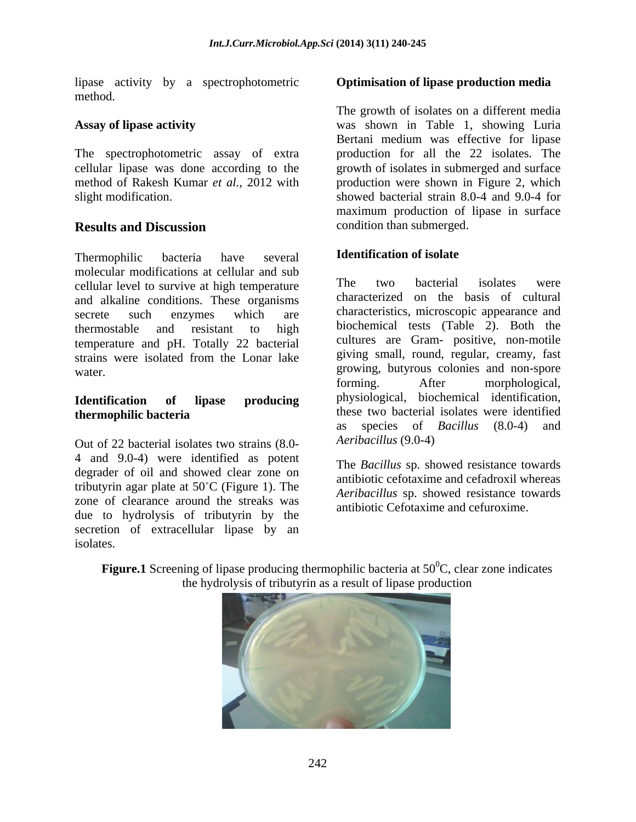lipase activity by a spectrophotometric method.

The spectrophotometric assay of extra

Thermophilic bacteria have several **Identification of isolate** molecular modifications at cellular and sub<br>cellular loculate survive at high temperature. The two bacterial isolates were cellular level to survive at high temperature and alkaline conditions. These organisms secrete such enzymes which are characteristics, microscopic appearance and thermostable and resistant to high biochemical tests (Table 2). Both the temperature and pH. Totally 22 bacterial strains were isolated from the Lonar lake

Out of 22 bacterial isolates two strains (8.0- 4 and 9.0-4) were identified as potent degrader of oil and showed clear zone on tributyrin agar plate at  $50^{\circ}$ C (Figure 1). The zone of clearance around the streaks was due to hydrolysis of tributyrin by the secretion of extracellular lipase by an isolates.

### **Optimisation of lipase production media**

**Assay of lipase activity** was shown in Table 1, showing Luria cellular lipase was done according to the growth of isolates in submerged and surface method of Rakesh Kumar *et al.,* 2012 with production were shown in Figure 2, which slight modification. showed bacterial strain 8.0-4 and 9.0-4 for **Results and Discussion** condition than submerged. The growth of isolates on a different media Bertani medium was effective for lipase production for all the 22 isolates. The maximum production of lipase in surface condition than submerged.

## **Identification of isolate**

water. growing, butyrous colonies and non-spore **Identification of lipase producing thermophilic bacteria these** two bacterial isolates were identified The two bacterial isolates were characterized on the basis of cultural biochemical tests (Table 2). Both the cultures are Gram- positive, non-motile giving small, round, regular, creamy, fast forming. After morphological, physiological, biochemical identification, these two bacterial isolates were identified as species of *Bacillus* (8.0-4) and *Aeribacillus* (9.0-4)

> The *Bacillus* sp. showed resistance towards antibiotic cefotaxime and cefadroxil whereas *Aeribacillus* sp. showed resistance towards antibiotic Cefotaxime and cefuroxime.



**Figure.1** Screening of lipase producing thermophilic bacteria at  $50^{\circ}$ C, clear zone indicates the hydrolysis of tributyrin as a result of lipase production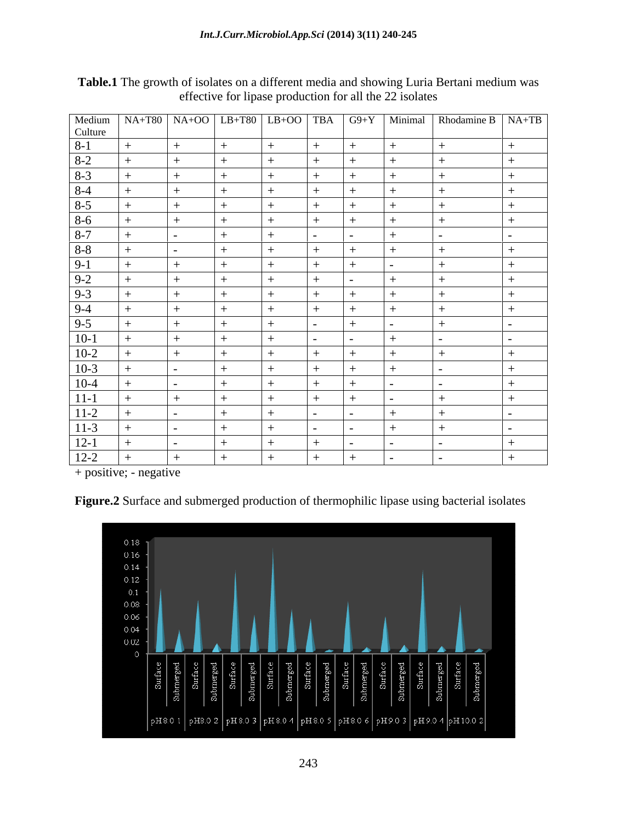|                     |        |                          |     |     |                          |     |        | Medium NA+T80 NA+OO LB+T80 LB+OO TBA G9+Y Minimal Rhodamine B NA+TB<br>Culture |
|---------------------|--------|--------------------------|-----|-----|--------------------------|-----|--------|--------------------------------------------------------------------------------|
|                     |        |                          |     |     |                          |     |        |                                                                                |
| $8 - 1$             |        |                          |     |     | $+$                      |     |        |                                                                                |
| $8-2$               |        | $^{+}$                   |     |     | $+$                      | $+$ | $^{+}$ |                                                                                |
|                     |        |                          |     |     |                          |     |        |                                                                                |
| $\frac{8-3}{8-4}$   |        |                          |     |     |                          |     |        |                                                                                |
| $8-5$               |        | $+$                      |     |     | $+$                      |     |        |                                                                                |
|                     |        |                          |     |     | $+$                      |     |        |                                                                                |
| $\frac{8-6}{8-7}$   |        |                          |     |     |                          | $+$ | $+$    |                                                                                |
|                     |        |                          |     |     | <b>Contract Contract</b> |     | $ -$   |                                                                                |
| $8 - 8$             |        |                          |     |     |                          |     |        |                                                                                |
| $9-1$               |        | $+$                      |     |     | $+$                      | $+$ |        |                                                                                |
|                     |        |                          |     |     | $+$                      |     |        |                                                                                |
| $\frac{9-2}{9-3}$   | $^{+}$ | $+$                      |     |     | $+$                      | $+$ | $+$    |                                                                                |
|                     |        |                          |     |     |                          |     |        |                                                                                |
| $9-4$               |        |                          |     |     |                          |     |        |                                                                                |
| $9 - 5$             |        |                          |     |     |                          | $+$ | $+$    |                                                                                |
| $10-1$              |        | $+$                      |     | $+$ | <b>Contract Contract</b> |     | $ -$   |                                                                                |
|                     |        |                          |     |     | $+$                      |     |        |                                                                                |
| $\frac{10-2}{10-3}$ |        |                          | $+$ | $+$ | $+$                      | $+$ |        |                                                                                |
| $10-4$              |        | $\overline{\phantom{0}}$ |     |     | $+$                      | $+$ |        |                                                                                |
| $11-1$              |        | $^{+}$                   |     |     | $+$                      | $+$ |        |                                                                                |
|                     |        |                          |     |     |                          |     |        |                                                                                |
| $11-2$              |        |                          |     |     |                          |     |        |                                                                                |
| $11-3$              |        |                          |     |     |                          |     |        |                                                                                |
| $\frac{12-1}{12-2}$ |        |                          |     |     |                          |     |        |                                                                                |
|                     | $^{+}$ |                          |     |     | $+$                      |     |        |                                                                                |

**Table.1** The growth of isolates on a different media and showing Luria Bertani medium was effective for lipase production for all the 22 isolates

+ positive; - negative



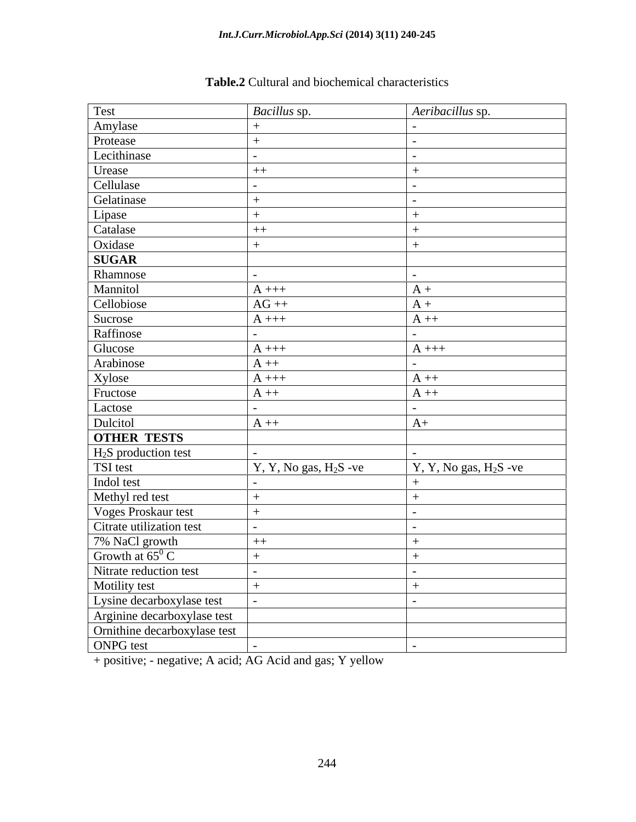| Test                                               | Bacillus sp.            | Aeribacillus sp.        |
|----------------------------------------------------|-------------------------|-------------------------|
| Amylase<br>Protease                                |                         |                         |
|                                                    |                         |                         |
| Lecithinase                                        |                         |                         |
| Urease<br>Cellulase                                | $++$                    |                         |
|                                                    |                         |                         |
| Gelatinase                                         |                         |                         |
|                                                    |                         |                         |
| Lipase<br>Catalase                                 | $++$                    |                         |
| Oxidase                                            |                         |                         |
| <b>SUGAR</b>                                       |                         |                         |
| Rhamnose                                           |                         |                         |
| Mannitol                                           | $A$ +++                 | $A +$                   |
| Cellobiose                                         | $AG++$                  | $A +$                   |
|                                                    | $A$ +++                 | $A + +$                 |
| Sucrose<br>Raffinose                               |                         |                         |
| Glucose                                            | $A$ +++                 | $A$ +++                 |
|                                                    | $A + +$                 |                         |
|                                                    | $A$ +++                 | $A + +$                 |
| Arabinose<br>Xylose<br>Fructose                    | $A + +$                 | $A + +$                 |
| Lactose                                            |                         |                         |
| Dulcitol                                           | $A + +$                 | $A+$                    |
| <b>OTHER TESTS</b>                                 |                         |                         |
|                                                    |                         |                         |
| $H2S$ production test<br>TSI test                  | $Y, Y, No gas, H2S -ve$ | $Y, Y, No gas, H2S -ve$ |
|                                                    |                         |                         |
| Indol test<br>Methyl red test                      |                         |                         |
|                                                    | $+$                     |                         |
| Voges Proskaur test<br>Citrate utilization test    |                         |                         |
| 7% NaCl growth                                     | $++$                    |                         |
|                                                    |                         |                         |
| Growth at $65^{\circ}$ C<br>Nitrate reduction test |                         |                         |
| Motility test                                      |                         |                         |
| Lysine decarboxylase test                          |                         |                         |
| Arginine decarboxylase test                        |                         |                         |
| Ornithine decarboxylase test                       |                         |                         |
| ONPG test                                          |                         |                         |
|                                                    |                         |                         |

# **Table.2** Cultural and biochemical characteristics

+ positive; - negative; A acid; AG Acid and gas; Y yellow